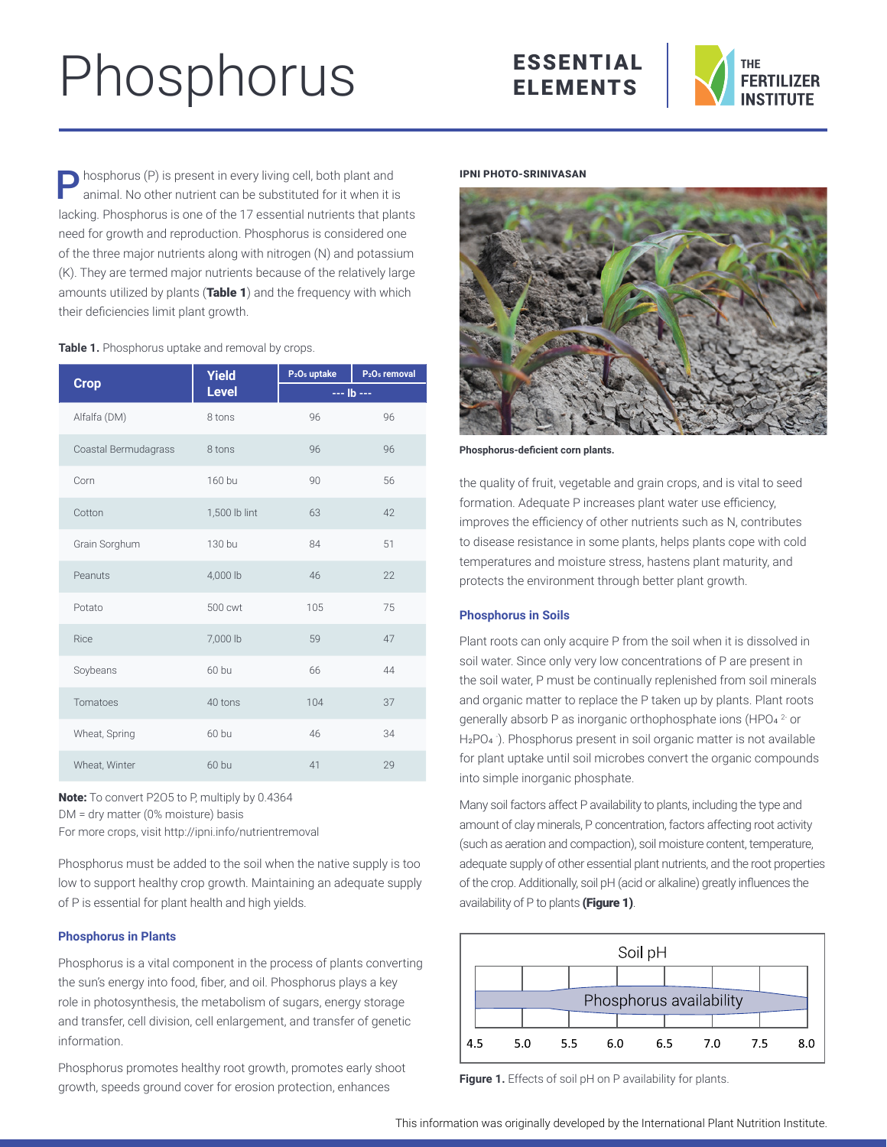# Phosphorus





**Phosphorus (P) is present in every living cell, both plant and** animal. No other nutrient can be substituted for it when it is lacking. Phosphorus is one of the 17 essential nutrients that plants need for growth and reproduction. Phosphorus is considered one of the three major nutrients along with nitrogen (N) and potassium (K). They are termed major nutrients because of the relatively large amounts utilized by plants (Table 1) and the frequency with which their deficiencies limit plant growth.

# **Table 1.** Phosphorus uptake and removal by crops.

|                      | <b>Yield</b>  | P <sub>2</sub> O <sub>5</sub> uptake | P <sub>2</sub> O <sub>5</sub> removal |  |
|----------------------|---------------|--------------------------------------|---------------------------------------|--|
| <b>Crop</b>          | <b>Level</b>  | $- -$ Ib $- -$                       |                                       |  |
| Alfalfa (DM)         | 8 tons        | 96                                   | 96                                    |  |
| Coastal Bermudagrass | 8 tons        | 96                                   | 96                                    |  |
| Corn                 | 160 bu        | 90                                   | 56                                    |  |
| Cotton               | 1,500 lb lint | 63                                   | 42                                    |  |
| Grain Sorghum        | 130 bu        | 84                                   | 51                                    |  |
| Peanuts              | 4,000 lb      | 46                                   | 22                                    |  |
| Potato               | 500 cwt       | 105                                  | 75                                    |  |
| Rice                 | 7,000 lb      | 59                                   | 47                                    |  |
| Soybeans             | 60 bu         | 66                                   | 44                                    |  |
| Tomatoes             | 40 tons       | 104                                  | 37                                    |  |
| Wheat, Spring        | 60 bu         | 46                                   | 34                                    |  |
| Wheat, Winter        | 60 bu         | 41                                   | 29                                    |  |

Note: To convert P2O5 to P, multiply by 0.4364 DM = dry matter (0% moisture) basis For more crops, visit<http://ipni.info/nutrientremoval>

Phosphorus must be added to the soil when the native supply is too low to support healthy crop growth. Maintaining an adequate supply of P is essential for plant health and high yields.

# **Phosphorus in Plants**

Phosphorus is a vital component in the process of plants converting the sun's energy into food, fiber, and oil. Phosphorus plays a key role in photosynthesis, the metabolism of sugars, energy storage and transfer, cell division, cell enlargement, and transfer of genetic information.

Phosphorus promotes healthy root growth, promotes early shoot growth, speeds ground cover for erosion protection, enhances

#### IPNI PHOTO-SRINIVASAN



**Phosphorus-deficient corn plants.**

the quality of fruit, vegetable and grain crops, and is vital to seed formation. Adequate P increases plant water use efficiency, improves the efficiency of other nutrients such as N, contributes to disease resistance in some plants, helps plants cope with cold temperatures and moisture stress, hastens plant maturity, and protects the environment through better plant growth.

## **Phosphorus in Soils**

Plant roots can only acquire P from the soil when it is dissolved in soil water. Since only very low concentrations of P are present in the soil water, P must be continually replenished from soil minerals and organic matter to replace the P taken up by plants. Plant roots generally absorb P as inorganic orthophosphate ions (HPO4 2- or H<sub>2</sub>PO<sub>4</sub>). Phosphorus present in soil organic matter is not available for plant uptake until soil microbes convert the organic compounds into simple inorganic phosphate.

Many soil factors affect P availability to plants, including the type and amount of clay minerals, P concentration, factors affecting root activity (such as aeration and compaction), soil moisture content, temperature, adequate supply of other essential plant nutrients, and the root properties of the crop. Additionally, soil pH (acid or alkaline) greatly influences the availability of  $P$  to plants (Figure 1).



Figure 1. Effects of soil pH on P availability for plants.